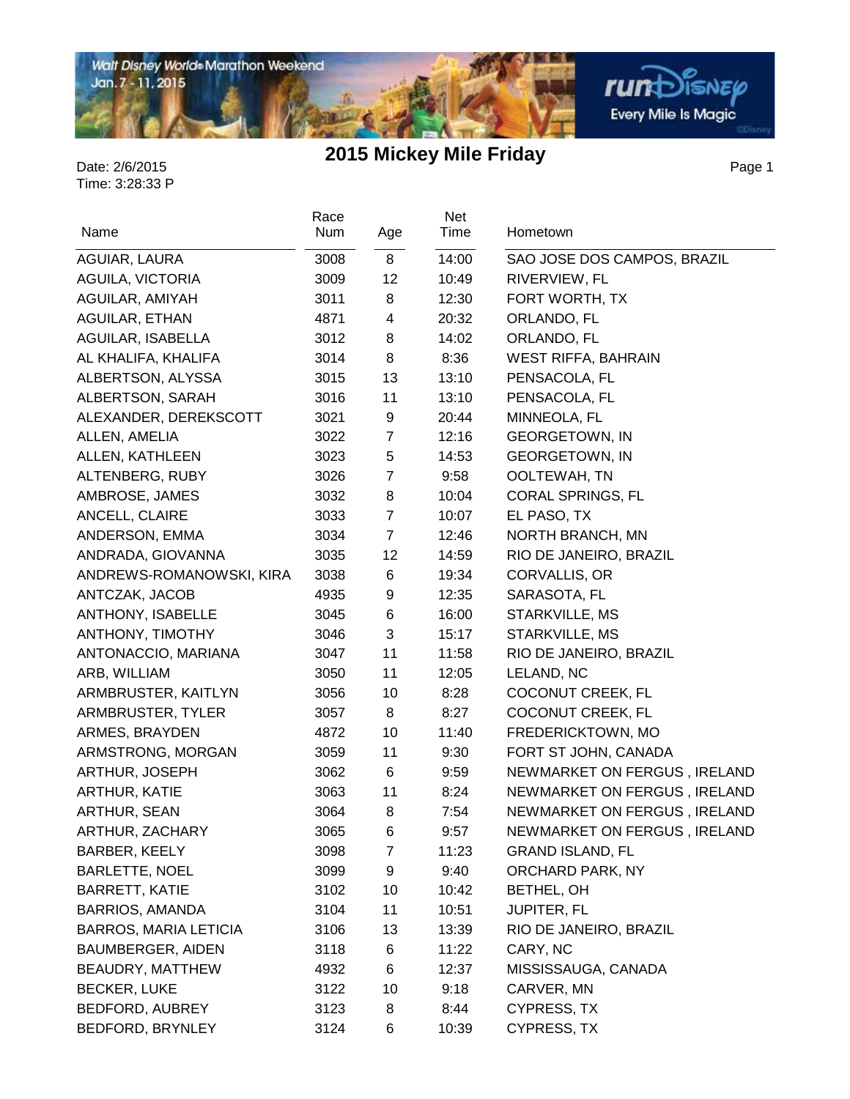

Page 1

| Name                         | Race<br>Num | Age            | Net<br>Time | Hometown                     |
|------------------------------|-------------|----------------|-------------|------------------------------|
| AGUIAR, LAURA                | 3008        | 8              | 14:00       | SAO JOSE DOS CAMPOS, BRAZIL  |
| AGUILA, VICTORIA             | 3009        | 12             | 10:49       | RIVERVIEW, FL                |
| AGUILAR, AMIYAH              | 3011        | 8              | 12:30       | FORT WORTH, TX               |
| AGUILAR, ETHAN               | 4871        | 4              | 20:32       | ORLANDO, FL                  |
| AGUILAR, ISABELLA            | 3012        | 8              | 14:02       | ORLANDO, FL                  |
| AL KHALIFA, KHALIFA          | 3014        | 8              | 8:36        | <b>WEST RIFFA, BAHRAIN</b>   |
| ALBERTSON, ALYSSA            | 3015        | 13             | 13:10       | PENSACOLA, FL                |
| ALBERTSON, SARAH             | 3016        | 11             | 13:10       | PENSACOLA, FL                |
| ALEXANDER, DEREKSCOTT        | 3021        | 9              | 20:44       | MINNEOLA, FL                 |
| ALLEN, AMELIA                | 3022        | 7              | 12:16       | <b>GEORGETOWN, IN</b>        |
| ALLEN, KATHLEEN              | 3023        | 5              | 14:53       | <b>GEORGETOWN, IN</b>        |
| ALTENBERG, RUBY              | 3026        | $\overline{7}$ | 9:58        | OOLTEWAH, TN                 |
| AMBROSE, JAMES               | 3032        | 8              | 10:04       | <b>CORAL SPRINGS, FL</b>     |
| ANCELL, CLAIRE               | 3033        | $\overline{7}$ | 10:07       | EL PASO, TX                  |
| ANDERSON, EMMA               | 3034        | $\overline{7}$ | 12:46       | NORTH BRANCH, MN             |
| ANDRADA, GIOVANNA            | 3035        | 12             | 14:59       | RIO DE JANEIRO, BRAZIL       |
| ANDREWS-ROMANOWSKI, KIRA     | 3038        | 6              | 19:34       | CORVALLIS, OR                |
| ANTCZAK, JACOB               | 4935        | 9              | 12:35       | SARASOTA, FL                 |
| ANTHONY, ISABELLE            | 3045        | 6              | 16:00       | STARKVILLE, MS               |
| ANTHONY, TIMOTHY             | 3046        | 3              | 15:17       | STARKVILLE, MS               |
| ANTONACCIO, MARIANA          | 3047        | 11             | 11:58       | RIO DE JANEIRO, BRAZIL       |
| ARB, WILLIAM                 | 3050        | 11             | 12:05       | LELAND, NC                   |
| ARMBRUSTER, KAITLYN          | 3056        | 10             | 8:28        | COCONUT CREEK, FL            |
| ARMBRUSTER, TYLER            | 3057        | 8              | 8:27        | COCONUT CREEK, FL            |
| ARMES, BRAYDEN               | 4872        | 10             | 11:40       | FREDERICKTOWN, MO            |
| ARMSTRONG, MORGAN            | 3059        | 11             | 9:30        | FORT ST JOHN, CANADA         |
| ARTHUR, JOSEPH               | 3062        | 6              | 9:59        | NEWMARKET ON FERGUS, IRELAND |
| ARTHUR, KATIE                | 3063        | 11             | 8:24        | NEWMARKET ON FERGUS, IRELAND |
| ARTHUR, SEAN                 | 3064        | 8              | 7:54        | NEWMARKET ON FERGUS, IRELAND |
| ARTHUR, ZACHARY              | 3065        | 6              | 9:57        | NEWMARKET ON FERGUS, IRELAND |
| BARBER, KEELY                | 3098        | $\overline{7}$ | 11:23       | <b>GRAND ISLAND, FL</b>      |
| <b>BARLETTE, NOEL</b>        | 3099        | 9              | 9:40        | ORCHARD PARK, NY             |
| <b>BARRETT, KATIE</b>        | 3102        | 10             | 10:42       | BETHEL, OH                   |
| <b>BARRIOS, AMANDA</b>       | 3104        | 11             | 10:51       | <b>JUPITER, FL</b>           |
| <b>BARROS, MARIA LETICIA</b> | 3106        | 13             | 13:39       | RIO DE JANEIRO, BRAZIL       |
| BAUMBERGER, AIDEN            | 3118        | 6              | 11:22       | CARY, NC                     |
| BEAUDRY, MATTHEW             | 4932        | 6              | 12:37       | MISSISSAUGA, CANADA          |
| <b>BECKER, LUKE</b>          | 3122        | 10             | 9:18        | CARVER, MN                   |
| BEDFORD, AUBREY              | 3123        | 8              | 8:44        | CYPRESS, TX                  |
| BEDFORD, BRYNLEY             | 3124        | 6              | 10:39       | CYPRESS, TX                  |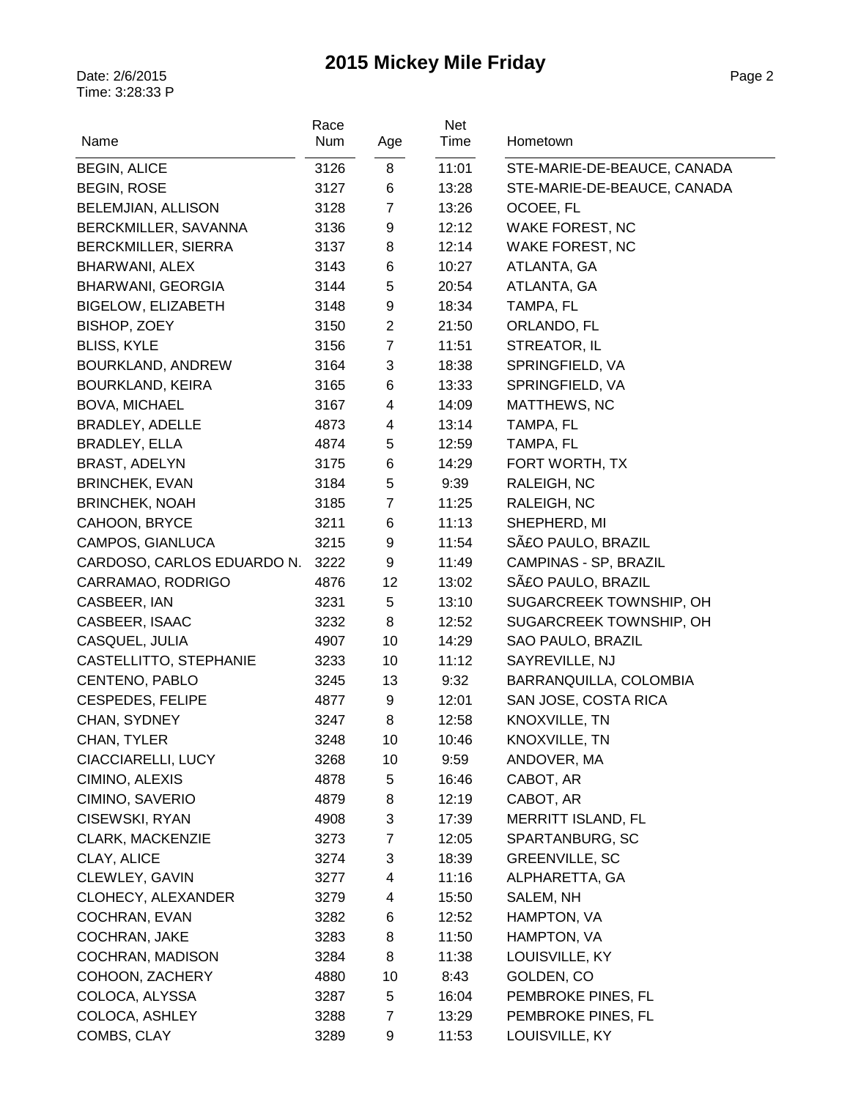| Name                                               | Race<br>Num  | Age            | Net<br>Time    | Hometown                                  |
|----------------------------------------------------|--------------|----------------|----------------|-------------------------------------------|
|                                                    |              |                |                |                                           |
| <b>BEGIN, ALICE</b>                                | 3126         | 8              | 11:01          | STE-MARIE-DE-BEAUCE, CANADA               |
| <b>BEGIN, ROSE</b>                                 | 3127         | 6              | 13:28          | STE-MARIE-DE-BEAUCE, CANADA               |
| BELEMJIAN, ALLISON                                 | 3128         | $\overline{7}$ | 13:26<br>12:12 | OCOEE, FL                                 |
| BERCKMILLER, SAVANNA<br><b>BERCKMILLER, SIERRA</b> | 3136<br>3137 | 9<br>8         | 12:14          | <b>WAKE FOREST, NC</b><br>WAKE FOREST, NC |
| BHARWANI, ALEX                                     | 3143         | 6              | 10:27          | ATLANTA, GA                               |
| <b>BHARWANI, GEORGIA</b>                           | 3144         | 5              | 20:54          | ATLANTA, GA                               |
| <b>BIGELOW, ELIZABETH</b>                          | 3148         | 9              | 18:34          | TAMPA, FL                                 |
| BISHOP, ZOEY                                       | 3150         | $\overline{c}$ | 21:50          | ORLANDO, FL                               |
| <b>BLISS, KYLE</b>                                 | 3156         | $\overline{7}$ | 11:51          | STREATOR, IL                              |
| BOURKLAND, ANDREW                                  | 3164         | 3              | 18:38          | SPRINGFIELD, VA                           |
| <b>BOURKLAND, KEIRA</b>                            | 3165         | 6              | 13:33          | SPRINGFIELD, VA                           |
| <b>BOVA, MICHAEL</b>                               | 3167         | $\overline{4}$ | 14:09          | <b>MATTHEWS, NC</b>                       |
| BRADLEY, ADELLE                                    | 4873         | 4              | 13:14          | TAMPA, FL                                 |
| BRADLEY, ELLA                                      | 4874         | 5              | 12:59          | TAMPA, FL                                 |
| BRAST, ADELYN                                      | 3175         | 6              | 14:29          | FORT WORTH, TX                            |
| <b>BRINCHEK, EVAN</b>                              | 3184         | 5              | 9:39           | RALEIGH, NC                               |
| <b>BRINCHEK, NOAH</b>                              | 3185         | $\overline{7}$ | 11:25          | RALEIGH, NC                               |
| CAHOON, BRYCE                                      | 3211         | 6              | 11:13          | SHEPHERD, MI                              |
| CAMPOS, GIANLUCA                                   | 3215         | 9              | 11:54          | SãO PAULO, BRAZIL                         |
| CARDOSO, CARLOS EDUARDO N.                         | 3222         | 9              | 11:49          | CAMPINAS - SP, BRAZIL                     |
| CARRAMAO, RODRIGO                                  | 4876         | 12             | 13:02          | SãO PAULO, BRAZIL                         |
| CASBEER, IAN                                       | 3231         | 5              | 13:10          | SUGARCREEK TOWNSHIP, OH                   |
| CASBEER, ISAAC                                     | 3232         | 8              | 12:52          | SUGARCREEK TOWNSHIP, OH                   |
| CASQUEL, JULIA                                     | 4907         | 10             | 14:29          | SAO PAULO, BRAZIL                         |
| CASTELLITTO, STEPHANIE                             | 3233         | 10             | 11:12          | SAYREVILLE, NJ                            |
| CENTENO, PABLO                                     | 3245         | 13             | 9:32           | BARRANQUILLA, COLOMBIA                    |
| <b>CESPEDES, FELIPE</b>                            | 4877         | 9              | 12:01          | SAN JOSE, COSTA RICA                      |
| CHAN, SYDNEY                                       | 3247         | 8              | 12:58          | KNOXVILLE, TN                             |
| CHAN, TYLER                                        | 3248         | 10             | 10:46          | KNOXVILLE, TN                             |
| CIACCIARELLI, LUCY                                 | 3268         | 10             | 9:59           | ANDOVER, MA                               |
| CIMINO, ALEXIS                                     | 4878         | 5              | 16:46          | CABOT, AR                                 |
| CIMINO, SAVERIO                                    | 4879         | 8              | 12:19          | CABOT, AR                                 |
| CISEWSKI, RYAN                                     | 4908         | 3              | 17:39          | MERRITT ISLAND, FL                        |
| <b>CLARK, MACKENZIE</b>                            | 3273         | 7              | 12:05          | SPARTANBURG, SC                           |
| CLAY, ALICE                                        | 3274         | 3              | 18:39          | <b>GREENVILLE, SC</b>                     |
| CLEWLEY, GAVIN                                     | 3277         | 4              | 11:16          | ALPHARETTA, GA                            |
| CLOHECY, ALEXANDER                                 | 3279         | 4              | 15:50          | SALEM, NH                                 |
| COCHRAN, EVAN                                      | 3282         | 6              | 12:52          | HAMPTON, VA                               |
| COCHRAN, JAKE                                      | 3283         | 8              | 11:50          | HAMPTON, VA                               |
| COCHRAN, MADISON                                   | 3284         | 8              | 11:38          | LOUISVILLE, KY                            |
| COHOON, ZACHERY                                    | 4880         | 10             | 8:43           | GOLDEN, CO                                |
| COLOCA, ALYSSA                                     | 3287         | 5              | 16:04          | PEMBROKE PINES, FL                        |
| COLOCA, ASHLEY                                     | 3288         | $\overline{7}$ | 13:29          | PEMBROKE PINES, FL                        |
| COMBS, CLAY                                        | 3289         | 9              | 11:53          | LOUISVILLE, KY                            |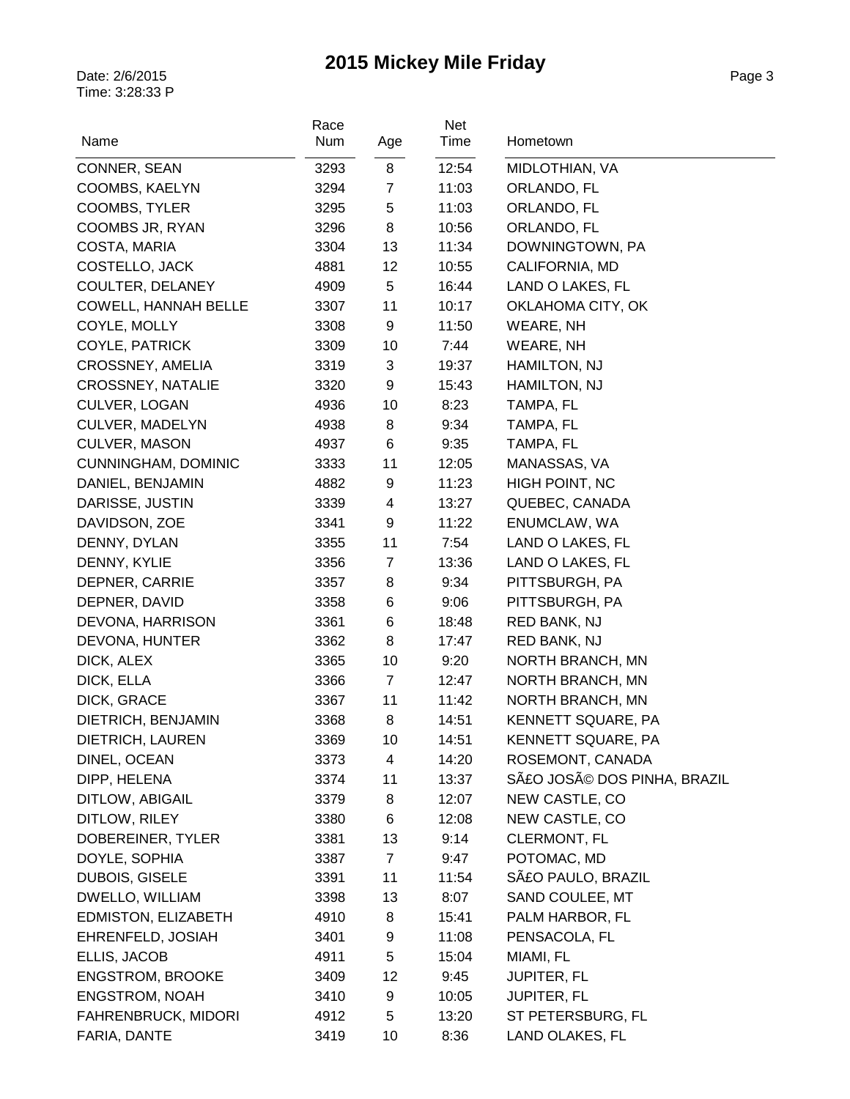| Name                       | Race<br>Num | Age            | Net<br>Time | Hometown                   |
|----------------------------|-------------|----------------|-------------|----------------------------|
| CONNER, SEAN               | 3293        | 8              | 12:54       | MIDLOTHIAN, VA             |
| COOMBS, KAELYN             | 3294        | $\overline{7}$ | 11:03       | ORLANDO, FL                |
| COOMBS, TYLER              | 3295        | 5              | 11:03       | ORLANDO, FL                |
| COOMBS JR, RYAN            | 3296        | 8              | 10:56       | ORLANDO, FL                |
| COSTA, MARIA               | 3304        | 13             | 11:34       | DOWNINGTOWN, PA            |
| COSTELLO, JACK             | 4881        | 12             | 10:55       | CALIFORNIA, MD             |
| COULTER, DELANEY           | 4909        | 5              | 16:44       | LAND O LAKES, FL           |
| COWELL, HANNAH BELLE       | 3307        | 11             | 10:17       | OKLAHOMA CITY, OK          |
| COYLE, MOLLY               | 3308        | 9              | 11:50       | WEARE, NH                  |
| COYLE, PATRICK             | 3309        | 10             | 7:44        | WEARE, NH                  |
| CROSSNEY, AMELIA           | 3319        | 3              | 19:37       | HAMILTON, NJ               |
| CROSSNEY, NATALIE          | 3320        | 9              | 15:43       | HAMILTON, NJ               |
| CULVER, LOGAN              | 4936        | 10             | 8:23        | TAMPA, FL                  |
| <b>CULVER, MADELYN</b>     | 4938        | 8              | 9:34        | TAMPA, FL                  |
| <b>CULVER, MASON</b>       | 4937        | 6              | 9:35        | TAMPA, FL                  |
| <b>CUNNINGHAM, DOMINIC</b> | 3333        | 11             | 12:05       | MANASSAS, VA               |
| DANIEL, BENJAMIN           | 4882        | 9              | 11:23       | HIGH POINT, NC             |
| DARISSE, JUSTIN            | 3339        | $\overline{4}$ | 13:27       | QUEBEC, CANADA             |
| DAVIDSON, ZOE              | 3341        | 9              | 11:22       | ENUMCLAW, WA               |
| DENNY, DYLAN               | 3355        | 11             | 7:54        | LAND O LAKES, FL           |
| DENNY, KYLIE               | 3356        | $\overline{7}$ | 13:36       | LAND O LAKES, FL           |
| DEPNER, CARRIE             | 3357        | 8              | 9:34        | PITTSBURGH, PA             |
| DEPNER, DAVID              | 3358        | 6              | 9:06        | PITTSBURGH, PA             |
| DEVONA, HARRISON           | 3361        | 6              | 18:48       | RED BANK, NJ               |
| DEVONA, HUNTER             | 3362        | 8              | 17:47       | RED BANK, NJ               |
| DICK, ALEX                 | 3365        | 10             | 9:20        | NORTH BRANCH, MN           |
| DICK, ELLA                 | 3366        | $\overline{7}$ | 12:47       | NORTH BRANCH, MN           |
| DICK, GRACE                | 3367        | 11             | 11:42       | NORTH BRANCH, MN           |
| DIETRICH, BENJAMIN         | 3368        | 8              | 14:51       | KENNETT SQUARE, PA         |
| DIETRICH, LAUREN           | 3369        | 10             | 14:51       | KENNETT SQUARE, PA         |
| DINEL, OCEAN               | 3373        | 4              | 14:20       | ROSEMONT, CANADA           |
| DIPP, HELENA               | 3374        | 11             | 13:37       | SãO JOSé DOS PINHA, BRAZIL |
| DITLOW, ABIGAIL            | 3379        | 8              | 12:07       | NEW CASTLE, CO             |
| DITLOW, RILEY              | 3380        | 6              | 12:08       | NEW CASTLE, CO             |
| DOBEREINER, TYLER          | 3381        | 13             | 9:14        | <b>CLERMONT, FL</b>        |
| DOYLE, SOPHIA              | 3387        | $\overline{7}$ | 9:47        | POTOMAC, MD                |
| DUBOIS, GISELE             | 3391        | 11             | 11:54       | SãO PAULO, BRAZIL          |
| DWELLO, WILLIAM            | 3398        | 13             | 8:07        | SAND COULEE, MT            |
| EDMISTON, ELIZABETH        | 4910        | 8              | 15:41       | PALM HARBOR, FL            |
| EHRENFELD, JOSIAH          | 3401        | 9              | 11:08       | PENSACOLA, FL              |
| ELLIS, JACOB               | 4911        | 5              | 15:04       | MIAMI, FL                  |
| <b>ENGSTROM, BROOKE</b>    | 3409        | 12             | 9:45        | <b>JUPITER, FL</b>         |
| <b>ENGSTROM, NOAH</b>      | 3410        | 9              | 10:05       | <b>JUPITER, FL</b>         |
| <b>FAHRENBRUCK, MIDORI</b> | 4912        | 5              | 13:20       | ST PETERSBURG, FL          |
| FARIA, DANTE               | 3419        | 10             | 8:36        | LAND OLAKES, FL            |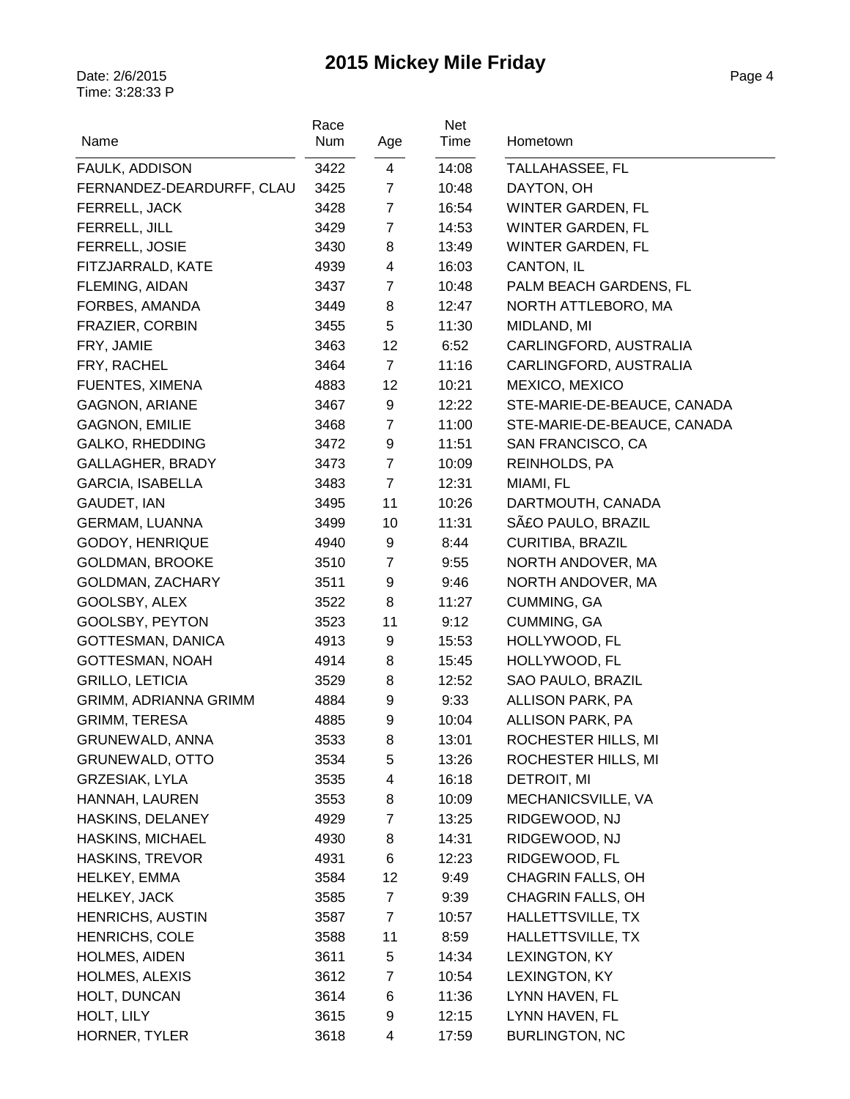| Name                         | Race<br>Num | Age            | Net<br>Time | Hometown                    |
|------------------------------|-------------|----------------|-------------|-----------------------------|
|                              |             |                |             |                             |
| FAULK, ADDISON               | 3422        | $\overline{4}$ | 14:08       | TALLAHASSEE, FL             |
| FERNANDEZ-DEARDURFF, CLAU    | 3425        | $\overline{7}$ | 10:48       | DAYTON, OH                  |
| FERRELL, JACK                | 3428        | $\overline{7}$ | 16:54       | WINTER GARDEN, FL           |
| FERRELL, JILL                | 3429        | $\overline{7}$ | 14:53       | WINTER GARDEN, FL           |
| FERRELL, JOSIE               | 3430        | 8              | 13:49       | WINTER GARDEN, FL           |
| FITZJARRALD, KATE            | 4939        | 4              | 16:03       | CANTON, IL                  |
| FLEMING, AIDAN               | 3437        | $\overline{7}$ | 10:48       | PALM BEACH GARDENS, FL      |
| FORBES, AMANDA               | 3449        | 8              | 12:47       | NORTH ATTLEBORO, MA         |
| FRAZIER, CORBIN              | 3455        | 5              | 11:30       | MIDLAND, MI                 |
| FRY, JAMIE                   | 3463        | 12             | 6:52        | CARLINGFORD, AUSTRALIA      |
| FRY, RACHEL                  | 3464        | 7              | 11:16       | CARLINGFORD, AUSTRALIA      |
| FUENTES, XIMENA              | 4883        | 12             | 10:21       | MEXICO, MEXICO              |
| GAGNON, ARIANE               | 3467        | 9              | 12:22       | STE-MARIE-DE-BEAUCE, CANADA |
| <b>GAGNON, EMILIE</b>        | 3468        | $\overline{7}$ | 11:00       | STE-MARIE-DE-BEAUCE, CANADA |
| <b>GALKO, RHEDDING</b>       | 3472        | 9              | 11:51       | SAN FRANCISCO, CA           |
| GALLAGHER, BRADY             | 3473        | $\overline{7}$ | 10:09       | REINHOLDS, PA               |
| <b>GARCIA, ISABELLA</b>      | 3483        | $\overline{7}$ | 12:31       | MIAMI, FL                   |
| GAUDET, IAN                  | 3495        | 11             | 10:26       | DARTMOUTH, CANADA           |
| <b>GERMAM, LUANNA</b>        | 3499        | 10             | 11:31       | SãO PAULO, BRAZIL           |
| GODOY, HENRIQUE              | 4940        | 9              | 8:44        | <b>CURITIBA, BRAZIL</b>     |
| <b>GOLDMAN, BROOKE</b>       | 3510        | $\overline{7}$ | 9:55        | NORTH ANDOVER, MA           |
| GOLDMAN, ZACHARY             | 3511        | 9              | 9:46        | NORTH ANDOVER, MA           |
| GOOLSBY, ALEX                | 3522        | 8              | 11:27       | CUMMING, GA                 |
| GOOLSBY, PEYTON              | 3523        | 11             | 9:12        | CUMMING, GA                 |
| GOTTESMAN, DANICA            | 4913        | 9              | 15:53       | HOLLYWOOD, FL               |
| GOTTESMAN, NOAH              | 4914        | 8              | 15:45       | HOLLYWOOD, FL               |
| <b>GRILLO, LETICIA</b>       | 3529        | 8              | 12:52       | SAO PAULO, BRAZIL           |
| <b>GRIMM, ADRIANNA GRIMM</b> | 4884        | 9              | 9:33        | ALLISON PARK, PA            |
| <b>GRIMM, TERESA</b>         | 4885        | 9              | 10:04       | ALLISON PARK, PA            |
| <b>GRUNEWALD, ANNA</b>       | 3533        | 8              | 13:01       | ROCHESTER HILLS, MI         |
| <b>GRUNEWALD, OTTO</b>       | 3534        | 5              | 13:26       | ROCHESTER HILLS, MI         |
| <b>GRZESIAK, LYLA</b>        | 3535        | 4              | 16:18       | DETROIT, MI                 |
| HANNAH, LAUREN               | 3553        | 8              | 10:09       | MECHANICSVILLE, VA          |
| HASKINS, DELANEY             | 4929        | $\overline{7}$ | 13:25       | RIDGEWOOD, NJ               |
| <b>HASKINS, MICHAEL</b>      | 4930        | 8              | 14:31       | RIDGEWOOD, NJ               |
| <b>HASKINS, TREVOR</b>       | 4931        | 6              | 12:23       | RIDGEWOOD, FL               |
| HELKEY, EMMA                 | 3584        | 12             | 9:49        | CHAGRIN FALLS, OH           |
| HELKEY, JACK                 | 3585        | $\overline{7}$ | 9:39        | <b>CHAGRIN FALLS, OH</b>    |
| <b>HENRICHS, AUSTIN</b>      | 3587        | $\overline{7}$ | 10:57       | HALLETTSVILLE, TX           |
| <b>HENRICHS, COLE</b>        | 3588        | 11             | 8:59        | HALLETTSVILLE, TX           |
| <b>HOLMES, AIDEN</b>         | 3611        | 5              | 14:34       | LEXINGTON, KY               |
| <b>HOLMES, ALEXIS</b>        | 3612        | $\overline{7}$ | 10:54       | LEXINGTON, KY               |
| HOLT, DUNCAN                 | 3614        | 6              | 11:36       | LYNN HAVEN, FL              |
| HOLT, LILY                   | 3615        | 9              | 12:15       | LYNN HAVEN, FL              |
| HORNER, TYLER                | 3618        | 4              | 17:59       | <b>BURLINGTON, NC</b>       |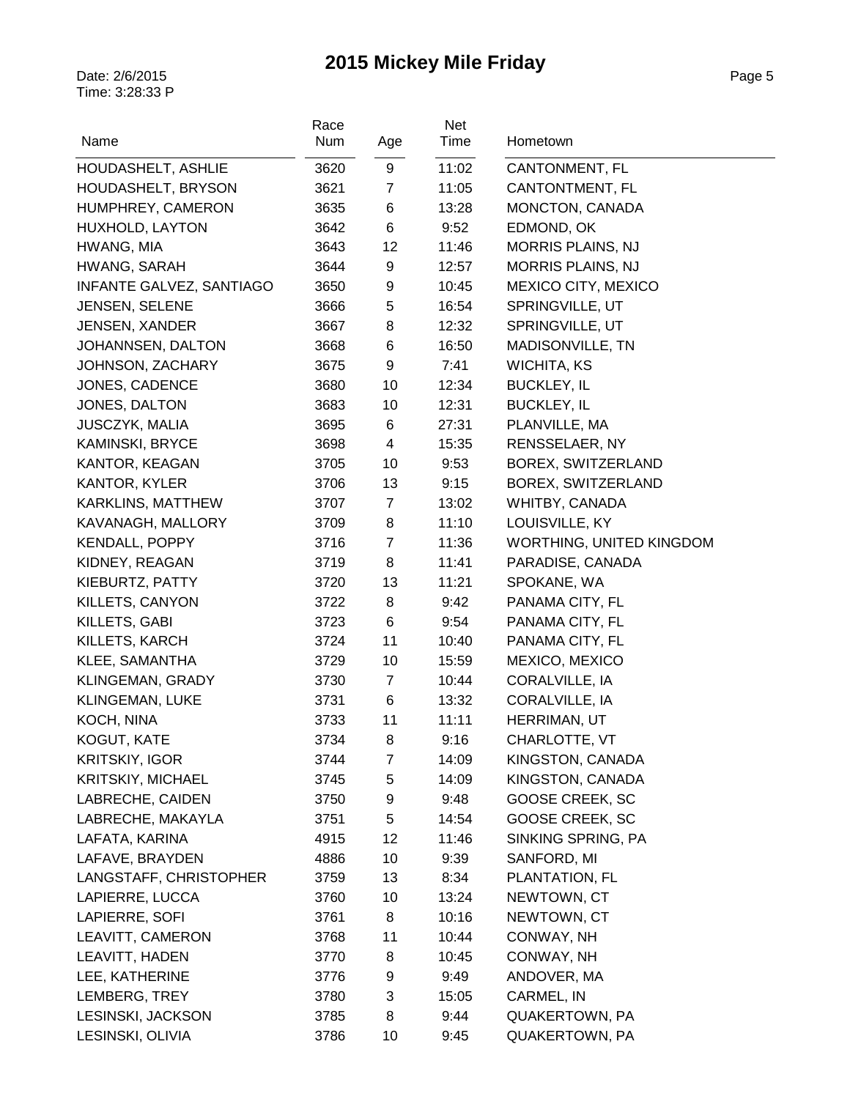| Name                            | Race<br>Num | Age              | Net<br>Time | Hometown                 |
|---------------------------------|-------------|------------------|-------------|--------------------------|
| HOUDASHELT, ASHLIE              | 3620        | $\boldsymbol{9}$ | 11:02       | CANTONMENT, FL           |
| HOUDASHELT, BRYSON              | 3621        | $\overline{7}$   | 11:05       | CANTONTMENT, FL          |
| HUMPHREY, CAMERON               | 3635        | 6                | 13:28       | MONCTON, CANADA          |
| HUXHOLD, LAYTON                 | 3642        | $\,6$            | 9:52        | EDMOND, OK               |
| HWANG, MIA                      | 3643        | 12               | 11:46       | <b>MORRIS PLAINS, NJ</b> |
| HWANG, SARAH                    | 3644        | $\boldsymbol{9}$ | 12:57       | MORRIS PLAINS, NJ        |
| <b>INFANTE GALVEZ, SANTIAGO</b> | 3650        | 9                | 10:45       | MEXICO CITY, MEXICO      |
| <b>JENSEN, SELENE</b>           | 3666        | 5                | 16:54       | SPRINGVILLE, UT          |
| <b>JENSEN, XANDER</b>           | 3667        | 8                | 12:32       | SPRINGVILLE, UT          |
| JOHANNSEN, DALTON               | 3668        | $\,6$            | 16:50       | MADISONVILLE, TN         |
| JOHNSON, ZACHARY                | 3675        | 9                | 7:41        | WICHITA, KS              |
| JONES, CADENCE                  | 3680        | 10               | 12:34       | <b>BUCKLEY, IL</b>       |
| JONES, DALTON                   | 3683        | 10               | 12:31       | <b>BUCKLEY, IL</b>       |
| JUSCZYK, MALIA                  | 3695        | 6                | 27:31       | PLANVILLE, MA            |
| KAMINSKI, BRYCE                 | 3698        | 4                | 15:35       | <b>RENSSELAER, NY</b>    |
| KANTOR, KEAGAN                  | 3705        | 10               | 9:53        | BOREX, SWITZERLAND       |
| <b>KANTOR, KYLER</b>            | 3706        | 13               | 9:15        | BOREX, SWITZERLAND       |
| <b>KARKLINS, MATTHEW</b>        | 3707        | $\overline{7}$   | 13:02       | WHITBY, CANADA           |
| KAVANAGH, MALLORY               | 3709        | 8                | 11:10       | LOUISVILLE, KY           |
| <b>KENDALL, POPPY</b>           | 3716        | $\overline{7}$   | 11:36       | WORTHING, UNITED KINGDOM |
| KIDNEY, REAGAN                  | 3719        | 8                | 11:41       | PARADISE, CANADA         |
| KIEBURTZ, PATTY                 | 3720        | 13               | 11:21       | SPOKANE, WA              |
| KILLETS, CANYON                 | 3722        | 8                | 9:42        | PANAMA CITY, FL          |
| KILLETS, GABI                   | 3723        | 6                | 9:54        | PANAMA CITY, FL          |
| KILLETS, KARCH                  | 3724        | 11               | 10:40       | PANAMA CITY, FL          |
| KLEE, SAMANTHA                  | 3729        | 10               | 15:59       | MEXICO, MEXICO           |
| KLINGEMAN, GRADY                | 3730        | $\overline{7}$   | 10:44       | CORALVILLE, IA           |
| <b>KLINGEMAN, LUKE</b>          | 3731        | 6                | 13:32       | CORALVILLE, IA           |
| KOCH, NINA                      | 3733        | 11               | 11:11       | HERRIMAN, UT             |
| KOGUT, KATE                     | 3734        | 8                | 9:16        | CHARLOTTE, VT            |
| <b>KRITSKIY, IGOR</b>           | 3744        | $\overline{7}$   | 14:09       | KINGSTON, CANADA         |
| <b>KRITSKIY, MICHAEL</b>        | 3745        | 5                | 14:09       | KINGSTON, CANADA         |
| LABRECHE, CAIDEN                | 3750        | 9                | 9:48        | GOOSE CREEK, SC          |
| LABRECHE, MAKAYLA               | 3751        | 5                | 14:54       | <b>GOOSE CREEK, SC</b>   |
| LAFATA, KARINA                  | 4915        | 12               | 11:46       | SINKING SPRING, PA       |
| LAFAVE, BRAYDEN                 | 4886        | 10               | 9:39        | SANFORD, MI              |
| LANGSTAFF, CHRISTOPHER          | 3759        | 13               | 8:34        | PLANTATION, FL           |
| LAPIERRE, LUCCA                 | 3760        | 10               | 13:24       | NEWTOWN, CT              |
| LAPIERRE, SOFI                  | 3761        | 8                | 10:16       | NEWTOWN, CT              |
| LEAVITT, CAMERON                | 3768        | 11               | 10:44       | CONWAY, NH               |
| LEAVITT, HADEN                  | 3770        | 8                | 10:45       | CONWAY, NH               |
| LEE, KATHERINE                  | 3776        | 9                | 9:49        | ANDOVER, MA              |
| LEMBERG, TREY                   | 3780        | 3                | 15:05       | CARMEL, IN               |
| LESINSKI, JACKSON               | 3785        | 8                | 9:44        | QUAKERTOWN, PA           |
| LESINSKI, OLIVIA                | 3786        | 10               | 9:45        | QUAKERTOWN, PA           |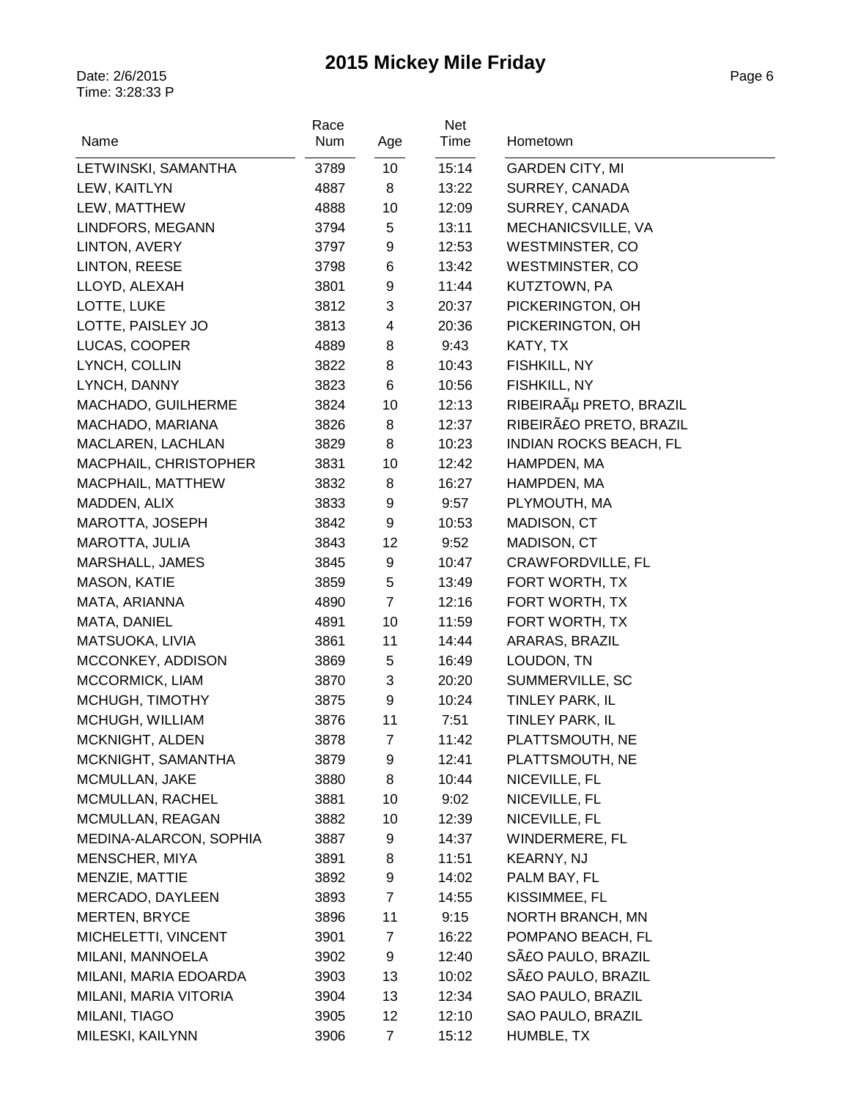| Name                   | Race<br>Num | Age            | Net<br>Time | Hometown                      |
|------------------------|-------------|----------------|-------------|-------------------------------|
| LETWINSKI, SAMANTHA    | 3789        | 10             | 15:14       | <b>GARDEN CITY, MI</b>        |
| LEW, KAITLYN           | 4887        | 8              | 13:22       | SURREY, CANADA                |
| LEW, MATTHEW           | 4888        | 10             | 12:09       | SURREY, CANADA                |
| LINDFORS, MEGANN       | 3794        | $\mathbf 5$    | 13:11       | MECHANICSVILLE, VA            |
| LINTON, AVERY          | 3797        | 9              | 12:53       | WESTMINSTER, CO               |
| LINTON, REESE          | 3798        | 6              | 13:42       | WESTMINSTER, CO               |
| LLOYD, ALEXAH          | 3801        | 9              | 11:44       | KUTZTOWN, PA                  |
| LOTTE, LUKE            | 3812        | 3              | 20:37       | PICKERINGTON, OH              |
| LOTTE, PAISLEY JO      | 3813        | 4              | 20:36       | PICKERINGTON, OH              |
| LUCAS, COOPER          | 4889        | 8              | 9:43        | KATY, TX                      |
| LYNCH, COLLIN          | 3822        | 8              | 10:43       | FISHKILL, NY                  |
| LYNCH, DANNY           | 3823        | $\,6$          | 10:56       | FISHKILL, NY                  |
| MACHADO, GUILHERME     | 3824        | 10             | 12:13       | RIBEIRAõ PRETO, BRAZIL        |
| MACHADO, MARIANA       | 3826        | 8              | 12:37       | RIBEIRãO PRETO, BRAZIL        |
| MACLAREN, LACHLAN      | 3829        | 8              | 10:23       | <b>INDIAN ROCKS BEACH, FL</b> |
| MACPHAIL, CHRISTOPHER  | 3831        | 10             | 12:42       | HAMPDEN, MA                   |
| MACPHAIL, MATTHEW      | 3832        | 8              | 16:27       | HAMPDEN, MA                   |
| MADDEN, ALIX           | 3833        | 9              | 9:57        | PLYMOUTH, MA                  |
| MAROTTA, JOSEPH        | 3842        | 9              | 10:53       | MADISON, CT                   |
| MAROTTA, JULIA         | 3843        | 12             | 9:52        | MADISON, CT                   |
| <b>MARSHALL, JAMES</b> | 3845        | 9              | 10:47       | CRAWFORDVILLE, FL             |
| <b>MASON, KATIE</b>    | 3859        | $\mathbf 5$    | 13:49       | FORT WORTH, TX                |
| MATA, ARIANNA          | 4890        | $\overline{7}$ | 12:16       | FORT WORTH, TX                |
| MATA, DANIEL           | 4891        | 10             | 11:59       | FORT WORTH, TX                |
| MATSUOKA, LIVIA        | 3861        | 11             | 14:44       | ARARAS, BRAZIL                |
| MCCONKEY, ADDISON      | 3869        | 5              | 16:49       | LOUDON, TN                    |
| MCCORMICK, LIAM        | 3870        | 3              | 20:20       | SUMMERVILLE, SC               |
| MCHUGH, TIMOTHY        | 3875        | 9              | 10:24       | TINLEY PARK, IL               |
| MCHUGH, WILLIAM        | 3876        | 11             | 7:51        | TINLEY PARK, IL               |
| MCKNIGHT, ALDEN        | 3878        | $\overline{7}$ | 11:42       | PLATTSMOUTH, NE               |
| MCKNIGHT, SAMANTHA     | 3879        | 9              | 12:41       | PLATTSMOUTH, NE               |
| MCMULLAN, JAKE         | 3880        | 8              | 10:44       | NICEVILLE, FL                 |
| MCMULLAN, RACHEL       | 3881        | 10             | 9:02        | NICEVILLE, FL                 |
| MCMULLAN, REAGAN       | 3882        | 10             | 12:39       | NICEVILLE, FL                 |
| MEDINA-ALARCON, SOPHIA | 3887        | 9              | 14:37       | WINDERMERE, FL                |
| MENSCHER, MIYA         | 3891        | 8              | 11:51       | <b>KEARNY, NJ</b>             |
| MENZIE, MATTIE         | 3892        | 9              | 14:02       | PALM BAY, FL                  |
| MERCADO, DAYLEEN       | 3893        | $\overline{7}$ | 14:55       | KISSIMMEE, FL                 |
| <b>MERTEN, BRYCE</b>   | 3896        | 11             | 9:15        | NORTH BRANCH, MN              |
| MICHELETTI, VINCENT    | 3901        | 7              | 16:22       | POMPANO BEACH, FL             |
| MILANI, MANNOELA       | 3902        | 9              | 12:40       | SãO PAULO, BRAZIL             |
| MILANI, MARIA EDOARDA  | 3903        | 13             | 10:02       | SãO PAULO, BRAZIL             |
| MILANI, MARIA VITORIA  | 3904        | 13             | 12:34       | SAO PAULO, BRAZIL             |
| MILANI, TIAGO          | 3905        | 12             | 12:10       | SAO PAULO, BRAZIL             |
| MILESKI, KAILYNN       | 3906        | 7              | 15:12       | HUMBLE, TX                    |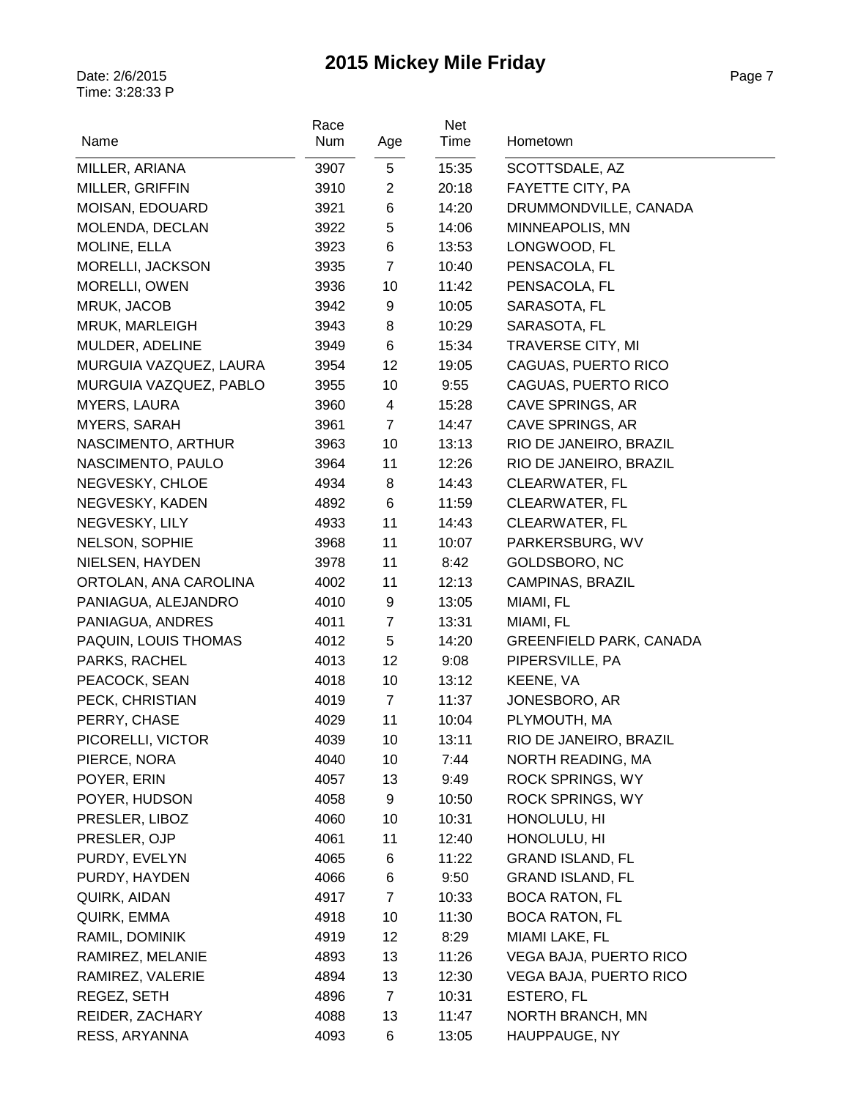| Name                   | Race<br>Num | Age            | Net<br>Time | Hometown                       |
|------------------------|-------------|----------------|-------------|--------------------------------|
| MILLER, ARIANA         | 3907        | 5              | 15:35       | SCOTTSDALE, AZ                 |
| MILLER, GRIFFIN        | 3910        | $\overline{2}$ | 20:18       | FAYETTE CITY, PA               |
| MOISAN, EDOUARD        | 3921        | 6              | 14:20       | DRUMMONDVILLE, CANADA          |
| MOLENDA, DECLAN        | 3922        | 5              | 14:06       | MINNEAPOLIS, MN                |
| MOLINE, ELLA           | 3923        | 6              | 13:53       | LONGWOOD, FL                   |
| MORELLI, JACKSON       | 3935        | $\overline{7}$ | 10:40       | PENSACOLA, FL                  |
| MORELLI, OWEN          | 3936        | 10             | 11:42       | PENSACOLA, FL                  |
| MRUK, JACOB            | 3942        | 9              | 10:05       | SARASOTA, FL                   |
| MRUK, MARLEIGH         | 3943        | 8              | 10:29       | SARASOTA, FL                   |
| MULDER, ADELINE        | 3949        | 6              | 15:34       | <b>TRAVERSE CITY, MI</b>       |
| MURGUIA VAZQUEZ, LAURA | 3954        | 12             | 19:05       | CAGUAS, PUERTO RICO            |
| MURGUIA VAZQUEZ, PABLO | 3955        | 10             | 9:55        | CAGUAS, PUERTO RICO            |
| <b>MYERS, LAURA</b>    | 3960        | 4              | 15:28       | CAVE SPRINGS, AR               |
| <b>MYERS, SARAH</b>    | 3961        | $\overline{7}$ | 14:47       | CAVE SPRINGS, AR               |
| NASCIMENTO, ARTHUR     | 3963        | 10             | 13:13       | RIO DE JANEIRO, BRAZIL         |
| NASCIMENTO, PAULO      | 3964        | 11             | 12:26       | RIO DE JANEIRO, BRAZIL         |
| NEGVESKY, CHLOE        | 4934        | 8              | 14:43       | CLEARWATER, FL                 |
| NEGVESKY, KADEN        | 4892        | 6              | 11:59       | CLEARWATER, FL                 |
| NEGVESKY, LILY         | 4933        | 11             | 14:43       | <b>CLEARWATER, FL</b>          |
| NELSON, SOPHIE         | 3968        | 11             | 10:07       | PARKERSBURG, WV                |
| NIELSEN, HAYDEN        | 3978        | 11             | 8:42        | GOLDSBORO, NC                  |
| ORTOLAN, ANA CAROLINA  | 4002        | 11             | 12:13       | CAMPINAS, BRAZIL               |
| PANIAGUA, ALEJANDRO    | 4010        | 9              | 13:05       | MIAMI, FL                      |
| PANIAGUA, ANDRES       | 4011        | $\overline{7}$ | 13:31       | MIAMI, FL                      |
| PAQUIN, LOUIS THOMAS   | 4012        | 5              | 14:20       | <b>GREENFIELD PARK, CANADA</b> |
| PARKS, RACHEL          | 4013        | 12             | 9:08        | PIPERSVILLE, PA                |
| PEACOCK, SEAN          | 4018        | 10             | 13:12       | KEENE, VA                      |
| PECK, CHRISTIAN        | 4019        | $\overline{7}$ | 11:37       | JONESBORO, AR                  |
| PERRY, CHASE           | 4029        | 11             | 10:04       | PLYMOUTH, MA                   |
| PICORELLI, VICTOR      | 4039        | 10             | 13:11       | RIO DE JANEIRO, BRAZIL         |
| PIERCE, NORA           | 4040        | 10             | 7:44        | NORTH READING, MA              |
| POYER, ERIN            | 4057        | 13             | 9:49        | <b>ROCK SPRINGS, WY</b>        |
| POYER, HUDSON          | 4058        | 9              | 10:50       | <b>ROCK SPRINGS, WY</b>        |
| PRESLER, LIBOZ         | 4060        | 10             | 10:31       | HONOLULU, HI                   |
| PRESLER, OJP           | 4061        | 11             | 12:40       | HONOLULU, HI                   |
| PURDY, EVELYN          | 4065        | 6              | 11:22       | <b>GRAND ISLAND, FL</b>        |
| PURDY, HAYDEN          | 4066        | 6              | 9:50        | <b>GRAND ISLAND, FL</b>        |
| QUIRK, AIDAN           | 4917        | $\overline{7}$ | 10:33       | <b>BOCA RATON, FL</b>          |
| QUIRK, EMMA            | 4918        | 10             | 11:30       | <b>BOCA RATON, FL</b>          |
| RAMIL, DOMINIK         | 4919        | 12             | 8:29        | MIAMI LAKE, FL                 |
| RAMIREZ, MELANIE       | 4893        | 13             | 11:26       | VEGA BAJA, PUERTO RICO         |
| RAMIREZ, VALERIE       | 4894        | 13             | 12:30       | VEGA BAJA, PUERTO RICO         |
| REGEZ, SETH            | 4896        | $\overline{7}$ | 10:31       | ESTERO, FL                     |
| REIDER, ZACHARY        | 4088        | 13             | 11:47       | NORTH BRANCH, MN               |
| RESS, ARYANNA          | 4093        | 6              | 13:05       | HAUPPAUGE, NY                  |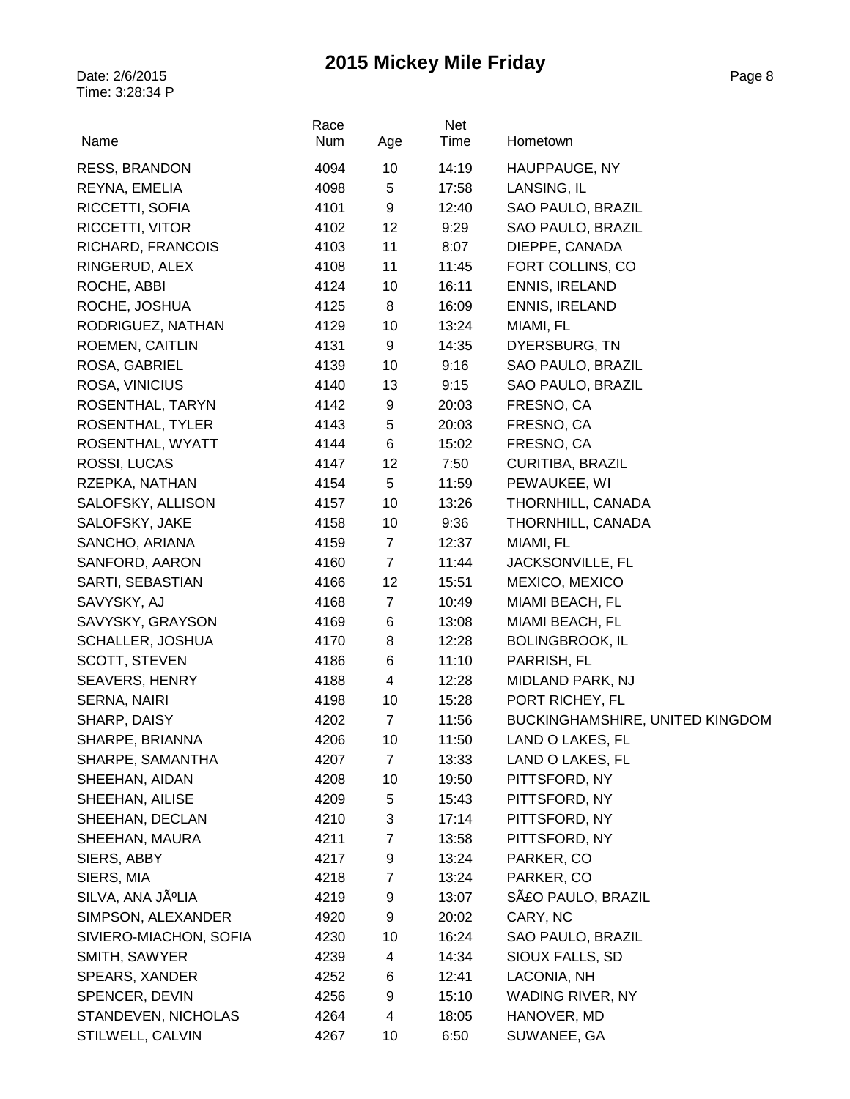| Name                   | Race<br>Num | Age            | Net<br>Time | Hometown                        |
|------------------------|-------------|----------------|-------------|---------------------------------|
| RESS, BRANDON          | 4094        | 10             | 14:19       | HAUPPAUGE, NY                   |
| REYNA, EMELIA          | 4098        | 5              | 17:58       | LANSING, IL                     |
| RICCETTI, SOFIA        | 4101        | 9              | 12:40       | SAO PAULO, BRAZIL               |
| RICCETTI, VITOR        | 4102        | 12             | 9:29        | SAO PAULO, BRAZIL               |
| RICHARD, FRANCOIS      | 4103        | 11             | 8:07        | DIEPPE, CANADA                  |
| RINGERUD, ALEX         | 4108        | 11             | 11:45       | FORT COLLINS, CO                |
| ROCHE, ABBI            | 4124        | 10             | 16:11       | ENNIS, IRELAND                  |
| ROCHE, JOSHUA          | 4125        | 8              | 16:09       | ENNIS, IRELAND                  |
| RODRIGUEZ, NATHAN      | 4129        | 10             | 13:24       | MIAMI, FL                       |
| ROEMEN, CAITLIN        | 4131        | 9              | 14:35       | DYERSBURG, TN                   |
| ROSA, GABRIEL          | 4139        | 10             | 9:16        | SAO PAULO, BRAZIL               |
| ROSA, VINICIUS         | 4140        | 13             | 9:15        | SAO PAULO, BRAZIL               |
| ROSENTHAL, TARYN       | 4142        | 9              | 20:03       | FRESNO, CA                      |
| ROSENTHAL, TYLER       | 4143        | 5              | 20:03       | FRESNO, CA                      |
| ROSENTHAL, WYATT       | 4144        | 6              | 15:02       | FRESNO, CA                      |
| ROSSI, LUCAS           | 4147        | 12             | 7:50        | <b>CURITIBA, BRAZIL</b>         |
| RZEPKA, NATHAN         | 4154        | 5              | 11:59       | PEWAUKEE, WI                    |
| SALOFSKY, ALLISON      | 4157        | 10             | 13:26       | THORNHILL, CANADA               |
| SALOFSKY, JAKE         | 4158        | 10             | 9:36        | THORNHILL, CANADA               |
| SANCHO, ARIANA         | 4159        | $\overline{7}$ | 12:37       | MIAMI, FL                       |
| SANFORD, AARON         | 4160        | $\overline{7}$ | 11:44       | JACKSONVILLE, FL                |
| SARTI, SEBASTIAN       | 4166        | 12             | 15:51       | MEXICO, MEXICO                  |
| SAVYSKY, AJ            | 4168        | $\overline{7}$ | 10:49       | MIAMI BEACH, FL                 |
| SAVYSKY, GRAYSON       | 4169        | 6              | 13:08       | MIAMI BEACH, FL                 |
| SCHALLER, JOSHUA       | 4170        | 8              | 12:28       | <b>BOLINGBROOK, IL</b>          |
| SCOTT, STEVEN          | 4186        | 6              | 11:10       | PARRISH, FL                     |
| <b>SEAVERS, HENRY</b>  | 4188        | 4              | 12:28       | MIDLAND PARK, NJ                |
| SERNA, NAIRI           | 4198        | 10             | 15:28       | PORT RICHEY, FL                 |
| SHARP, DAISY           | 4202        | $\overline{7}$ | 11:56       | BUCKINGHAMSHIRE, UNITED KINGDOM |
| SHARPE, BRIANNA        | 4206        | 10             | 11:50       | LAND O LAKES, FL                |
| SHARPE, SAMANTHA       | 4207        | 7              | 13:33       | LAND O LAKES, FL                |
| SHEEHAN, AIDAN         | 4208        | 10             | 19:50       | PITTSFORD, NY                   |
| SHEEHAN, AILISE        | 4209        | 5              | 15:43       | PITTSFORD, NY                   |
| SHEEHAN, DECLAN        | 4210        | 3              | 17:14       | PITTSFORD, NY                   |
| SHEEHAN, MAURA         | 4211        | 7              | 13:58       | PITTSFORD, NY                   |
| SIERS, ABBY            | 4217        | 9              | 13:24       | PARKER, CO                      |
| SIERS, MIA             | 4218        | 7              | 13:24       | PARKER, CO                      |
| SILVA, ANA JúLIA       | 4219        | 9              | 13:07       | SãO PAULO, BRAZIL               |
| SIMPSON, ALEXANDER     | 4920        | 9              | 20:02       | CARY, NC                        |
| SIVIERO-MIACHON, SOFIA | 4230        | 10             | 16:24       | SAO PAULO, BRAZIL               |
| SMITH, SAWYER          | 4239        | 4              | 14:34       | SIOUX FALLS, SD                 |
| SPEARS, XANDER         | 4252        | 6              | 12:41       | LACONIA, NH                     |
| SPENCER, DEVIN         | 4256        | 9              | 15:10       | WADING RIVER, NY                |
| STANDEVEN, NICHOLAS    | 4264        | 4              | 18:05       | HANOVER, MD                     |
| STILWELL, CALVIN       | 4267        | 10             | 6:50        | SUWANEE, GA                     |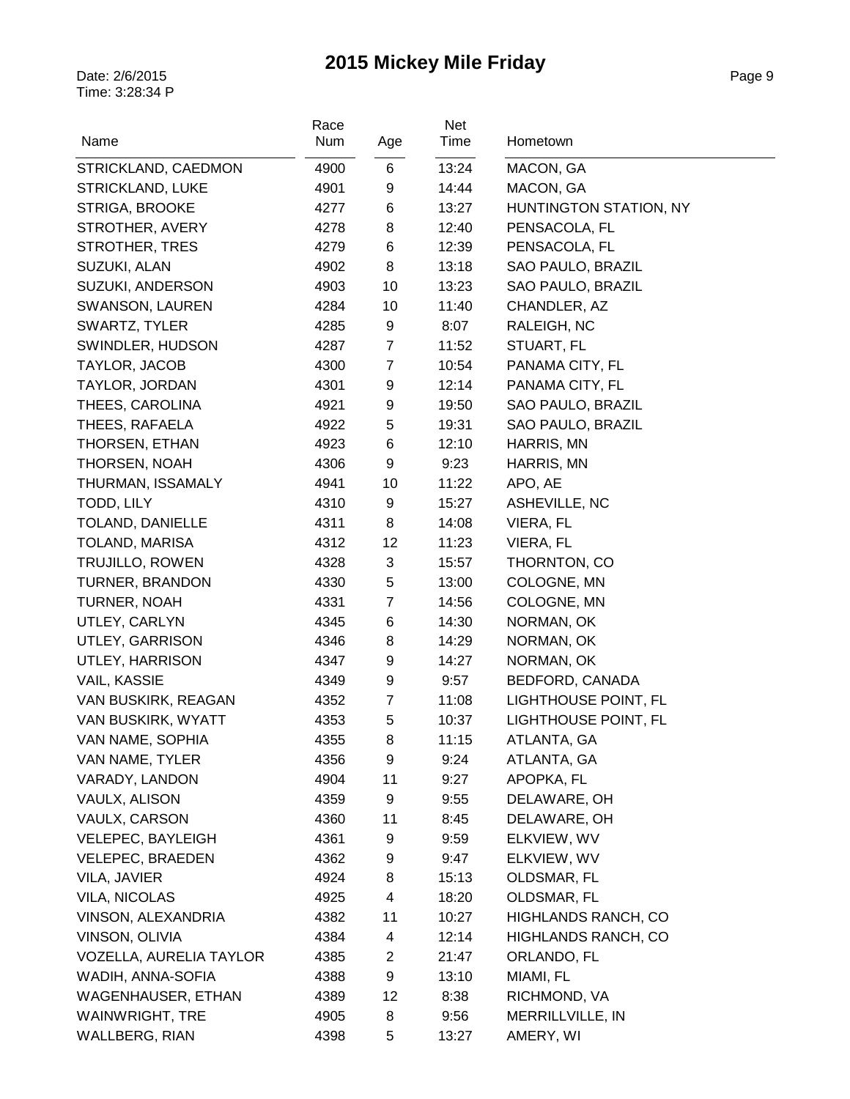| Name                                                | Race<br>Num  | Age                 | Net<br>Time  | Hometown                         |
|-----------------------------------------------------|--------------|---------------------|--------------|----------------------------------|
| STRICKLAND, CAEDMON                                 | 4900         | 6                   | 13:24        | MACON, GA                        |
| STRICKLAND, LUKE                                    | 4901         | 9                   | 14:44        | MACON, GA                        |
| STRIGA, BROOKE                                      | 4277         | 6                   | 13:27        | HUNTINGTON STATION, NY           |
| STROTHER, AVERY                                     | 4278         | 8                   | 12:40        | PENSACOLA, FL                    |
| <b>STROTHER, TRES</b>                               | 4279         | 6                   | 12:39        | PENSACOLA, FL                    |
| SUZUKI, ALAN                                        | 4902         | 8                   | 13:18        | SAO PAULO, BRAZIL                |
| SUZUKI, ANDERSON                                    | 4903         | 10                  | 13:23        | SAO PAULO, BRAZIL                |
| SWANSON, LAUREN                                     | 4284         | 10                  | 11:40        | CHANDLER, AZ                     |
| SWARTZ, TYLER                                       | 4285         | 9                   | 8:07         | RALEIGH, NC                      |
| SWINDLER, HUDSON                                    | 4287         | $\overline{7}$      | 11:52        | STUART, FL                       |
| TAYLOR, JACOB                                       | 4300         | $\overline{7}$      | 10:54        | PANAMA CITY, FL                  |
| TAYLOR, JORDAN                                      | 4301         | 9                   | 12:14        | PANAMA CITY, FL                  |
| THEES, CAROLINA                                     | 4921         | 9                   | 19:50        | SAO PAULO, BRAZIL                |
| THEES, RAFAELA                                      | 4922         | 5                   | 19:31        | SAO PAULO, BRAZIL                |
| THORSEN, ETHAN                                      | 4923         | 6                   | 12:10        | HARRIS, MN                       |
| THORSEN, NOAH                                       | 4306         | 9                   | 9:23         | HARRIS, MN                       |
| THURMAN, ISSAMALY                                   | 4941         | 10                  | 11:22        | APO, AE                          |
| TODD, LILY                                          | 4310         | 9                   | 15:27        | ASHEVILLE, NC                    |
| TOLAND, DANIELLE                                    | 4311         | 8                   | 14:08        | VIERA, FL                        |
| TOLAND, MARISA                                      | 4312         | 12                  | 11:23        | VIERA, FL                        |
| <b>TRUJILLO, ROWEN</b>                              | 4328         | 3                   | 15:57        | THORNTON, CO                     |
| TURNER, BRANDON                                     | 4330         | 5                   | 13:00        | COLOGNE, MN                      |
| TURNER, NOAH                                        | 4331         | $\overline{7}$      | 14:56        | COLOGNE, MN                      |
| UTLEY, CARLYN                                       | 4345         | 6                   | 14:30        | NORMAN, OK                       |
| UTLEY, GARRISON                                     | 4346         | 8                   | 14:29        | NORMAN, OK                       |
| UTLEY, HARRISON                                     | 4347         | 9                   | 14:27        | NORMAN, OK                       |
| VAIL, KASSIE                                        | 4349         | 9                   | 9:57         | BEDFORD, CANADA                  |
| VAN BUSKIRK, REAGAN                                 | 4352         | $\overline{7}$      | 11:08        | LIGHTHOUSE POINT, FL             |
| VAN BUSKIRK, WYATT                                  | 4353         | $\mathbf 5$         | 10:37        | LIGHTHOUSE POINT, FL             |
| VAN NAME, SOPHIA                                    | 4355         | 8                   | 11:15        | ATLANTA, GA                      |
| VAN NAME, TYLER                                     | 4356         | 9                   | 9:24         | ATLANTA, GA                      |
| VARADY, LANDON                                      | 4904         | 11                  | 9:27         | APOPKA, FL                       |
| VAULX, ALISON                                       | 4359         | 9                   | 9:55         | DELAWARE, OH                     |
| VAULX, CARSON                                       | 4360         | 11                  | 8:45         | DELAWARE, OH                     |
| VELEPEC, BAYLEIGH                                   | 4361         | 9                   | 9:59         | ELKVIEW, WV                      |
| <b>VELEPEC, BRAEDEN</b>                             | 4362         | 9                   | 9:47         | ELKVIEW, WV                      |
| VILA, JAVIER                                        | 4924         | 8                   | 15:13        | OLDSMAR, FL                      |
| <b>VILA, NICOLAS</b>                                | 4925         | 4                   | 18:20        | OLDSMAR, FL                      |
| VINSON, ALEXANDRIA                                  | 4382         | 11                  | 10:27        | HIGHLANDS RANCH, CO              |
| VINSON, OLIVIA                                      | 4384         | 4                   | 12:14        | HIGHLANDS RANCH, CO              |
| <b>VOZELLA, AURELIA TAYLOR</b>                      | 4385         | $\overline{2}$<br>9 | 21:47        | ORLANDO, FL                      |
| WADIH, ANNA-SOFIA                                   | 4388         | 12                  | 13:10        | MIAMI, FL                        |
| <b>WAGENHAUSER, ETHAN</b><br><b>WAINWRIGHT, TRE</b> | 4389<br>4905 | 8                   | 8:38<br>9:56 | RICHMOND, VA<br>MERRILLVILLE, IN |
|                                                     |              |                     |              |                                  |
| <b>WALLBERG, RIAN</b>                               | 4398         | 5                   | 13:27        | AMERY, WI                        |